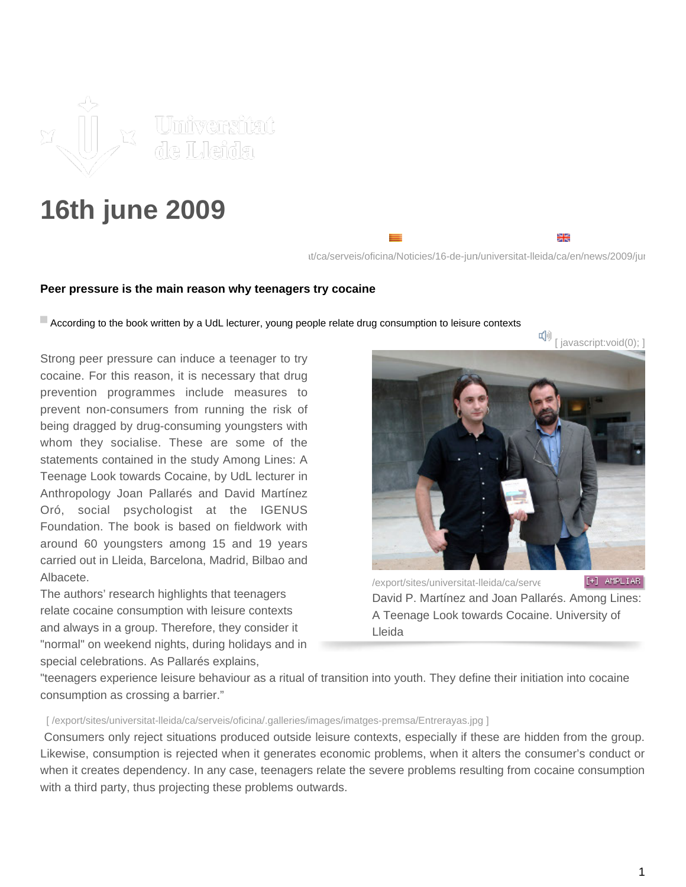

## **16th june 2009**

 $it/ca/s$ erveis/oficina/Noticies/16-de-jun/universitat-lleida/ca/en/news/2009/jun

₩

## **Peer pressure is the main reason why teenagers try cocaine**

According to the book written by a UdL lecturer, young people relate drug consumption to leisure contexts

Strong peer pressure can induce a teenager to try cocaine. For this reason, it is necessary that drug prevention programmes include measures to prevent non-consumers from running the risk of being dragged by drug-consuming youngsters with whom they socialise. These are some of the statements contained in the study Among Lines: A Teenage Look towards Cocaine, by UdL lecturer in Anthropology Joan Pallarés and David Martínez Oró, social psychologist at the IGENUS Foundation. The book is based on fieldwork with around 60 youngsters among 15 and 19 years carried out in Lleida, Barcelona, Madrid, Bilbao and Albacete.

The authors' research highlights that teenagers relate cocaine consumption with leisure contexts and always in a group. Therefore, they consider it "normal" on weekend nights, during holidays and in special celebrations. As Pallarés explains,



/export/sites/universitat-lleida/ca/serve [+] AMPLIAR David P. Martínez and Joan Pallarés. Among Lines: A Teenage Look towards Cocaine. University of Lleida

"teenagers experience leisure behaviour as a ritual of transition into youth. They define their initiation into cocaine consumption as crossing a barrier."

## [ /export/sites/universitat-lleida/ca/serveis/oficina/.galleries/images/imatges-premsa/Entrerayas.jpg ]

 Consumers only reject situations produced outside leisure contexts, especially if these are hidden from the group. Likewise, consumption is rejected when it generates economic problems, when it alters the consumer's conduct or when it creates dependency. In any case, teenagers relate the severe problems resulting from cocaine consumption with a third party, thus projecting these problems outwards.